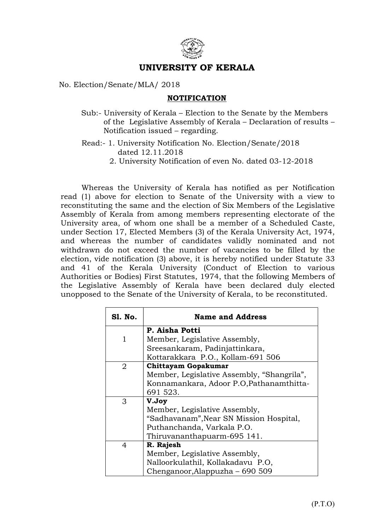

## UNIVERSITY OF KERALA

## No. Election/Senate/MLA/ 2018

## NOTIFICATION

Sub:- University of Kerala – Election to the Senate by the Members of the Legislative Assembly of Kerala – Declaration of results – Notification issued – regarding.

Read:- 1. University Notification No. Election/Senate/2018 dated 12.11.2018

2. University Notification of even No. dated 03-12-2018

 Whereas the University of Kerala has notified as per Notification read (1) above for election to Senate of the University with a view to reconstituting the same and the election of Six Members of the Legislative Assembly of Kerala from among members representing electorate of the University area, of whom one shall be a member of a Scheduled Caste, under Section 17, Elected Members (3) of the Kerala University Act, 1974, and whereas the number of candidates validly nominated and not withdrawn do not exceed the number of vacancies to be filled by the election, vide notification (3) above, it is hereby notified under Statute 33 and 41 of the Kerala University (Conduct of Election to various Authorities or Bodies) First Statutes, 1974, that the following Members of the Legislative Assembly of Kerala have been declared duly elected unopposed to the Senate of the University of Kerala, to be reconstituted.

| Sl. No.      | <b>Name and Address</b>                    |
|--------------|--------------------------------------------|
|              | P. Aisha Potti                             |
| $\mathbf{1}$ | Member, Legislative Assembly,              |
|              | Sreesankaram, Padinjattinkara,             |
|              | Kottarakkara P.O., Kollam-691 506          |
| 2            | <b>Chittayam Gopakumar</b>                 |
|              | Member, Legislative Assembly, "Shangrila", |
|              | Konnamankara, Adoor P.O.Pathanamthitta-    |
|              | 691 523.                                   |
| 3            | V.Joy                                      |
|              | Member, Legislative Assembly,              |
|              | "Sadhavanam", Near SN Mission Hospital,    |
|              | Puthanchanda, Varkala P.O.                 |
|              | Thiruvananthapuarm-695 141.                |
| 4            | R. Rajesh                                  |
|              | Member, Legislative Assembly,              |
|              | Nalloorkulathil, Kollakadavu P.O,          |
|              | Chenganoor, Alappuzha – 690 509            |